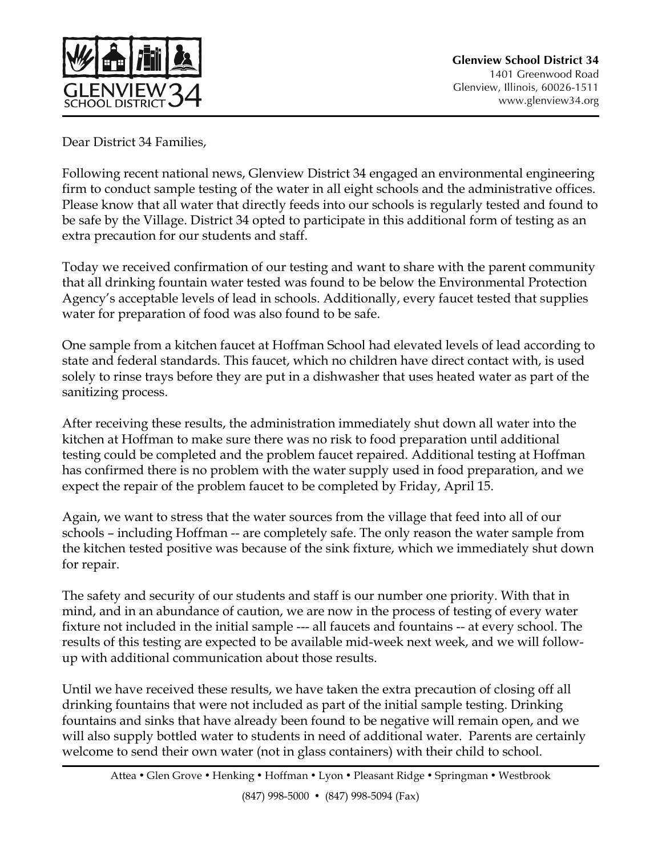

Dear District 34 Families,

Following recent national news, Glenview District 34 engaged an environmental engineering firm to conduct sample testing of the water in all eight schools and the administrative offices. Please know that all water that directly feeds into our schools is regularly tested and found to be safe by the Village. District 34 opted to participate in this additional form of testing as an extra precaution for our students and staff.

Today we received confirmation of our testing and want to share with the parent community that all drinking fountain water tested was found to be below the Environmental Protection Agency's acceptable levels of lead in schools. Additionally, every faucet tested that supplies water for preparation of food was also found to be safe.

One sample from a kitchen faucet at Hoffman School had elevated levels of lead according to state and federal standards. This faucet, which no children have direct contact with, is used solely to rinse trays before they are put in a dishwasher that uses heated water as part of the sanitizing process.

After receiving these results, the administration immediately shut down all water into the kitchen at Hoffman to make sure there was no risk to food preparation until additional testing could be completed and the problem faucet repaired. Additional testing at Hoffman has confirmed there is no problem with the water supply used in food preparation, and we expect the repair of the problem faucet to be completed by Friday, April 15.

Again, we want to stress that the water sources from the village that feed into all of our schools – including Hoffman -- are completely safe. The only reason the water sample from the kitchen tested positive was because of the sink fixture, which we immediately shut down for repair.

The safety and security of our students and staff is our number one priority. With that in mind, and in an abundance of caution, we are now in the process of testing of every water fixture not included in the initial sample --- all faucets and fountains -- at every school. The results of this testing are expected to be available mid-week next week, and we will followup with additional communication about those results.

Until we have received these results, we have taken the extra precaution of closing off all drinking fountains that were not included as part of the initial sample testing. Drinking fountains and sinks that have already been found to be negative will remain open, and we will also supply bottled water to students in need of additional water. Parents are certainly welcome to send their own water (not in glass containers) with their child to school.